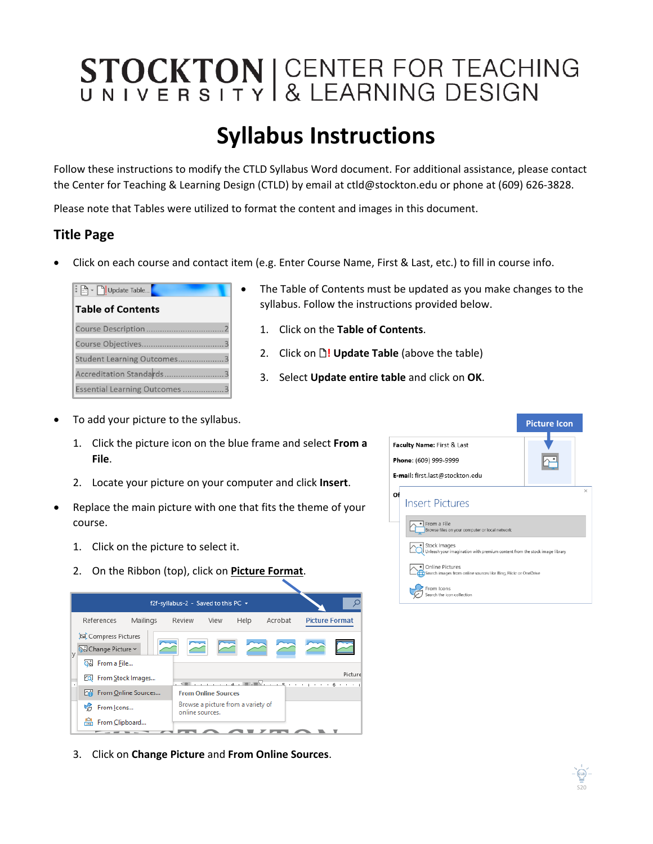## STOCKTON | CENTER FOR TEACHING

## **Syllabus Instructions**

Follow these instructions to modify the CTLD Syllabus Word document. For additional assistance, please contact the Center for Teaching & Learning Design (CTLD) by email at ctld@stockton.edu or phone at (609) 626-3828.

Please note that Tables were utilized to format the content and images in this document.

## **Title Page**

• Click on each course and contact item (e.g. Enter Course Name, First & Last, etc.) to fill in course info.

| $\frac{1}{2}$ $\mathbb{E}$ $\mathbb{R}$ $\mathbb{C}$ Update Table |  |
|-------------------------------------------------------------------|--|
| <b>Table of Contents</b>                                          |  |
| Course Description                                                |  |
| Course Objectives                                                 |  |
| Student Learning Outcomes                                         |  |
| Accreditation Standards                                           |  |
| Essential Learning Outcomes                                       |  |

- The Table of Contents must be updated as you make changes to the syllabus. Follow the instructions provided below.
	- 1. Click on the **Table of Contents**.
	- 2. Click on  $\mathbb{D}$ ! Update Table (above the table)
	- 3. Select **Update entire table** and click on **OK**.
- To add your picture to the syllabus.
	- 1. Click the picture icon on the blue frame and select **From a File**.
	- 2. Locate your picture on your computer and click **Insert**.
- Replace the main picture with one that fits the theme of your course.
	- 1. Click on the picture to select it.
	- 2. On the Ribbon (top), click on **Picture Format**.



3. Click on **Change Picture** and **From Online Sources**.